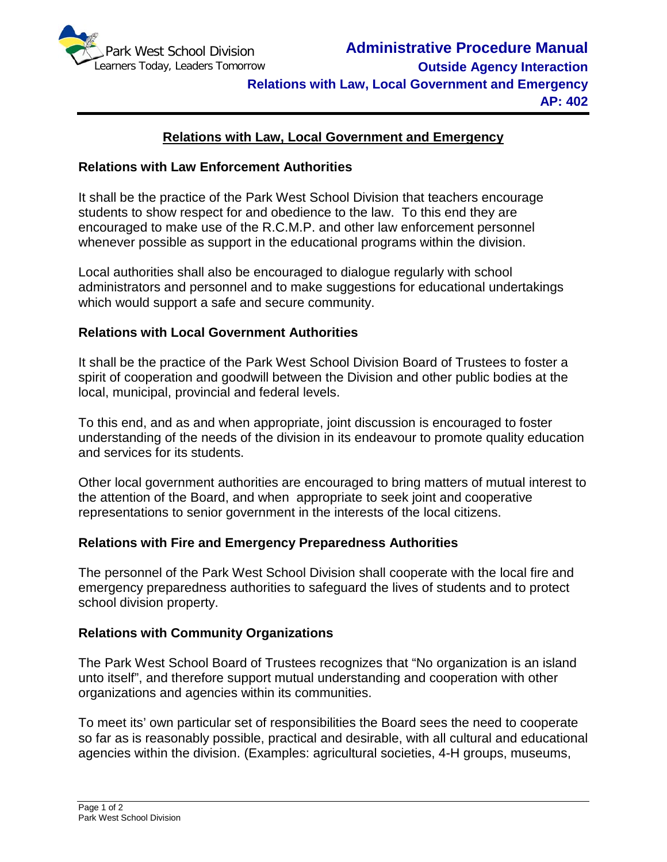

# **Relations with Law, Local Government and Emergency**

### **Relations with Law Enforcement Authorities**

It shall be the practice of the Park West School Division that teachers encourage students to show respect for and obedience to the law. To this end they are encouraged to make use of the R.C.M.P. and other law enforcement personnel whenever possible as support in the educational programs within the division.

Local authorities shall also be encouraged to dialogue regularly with school administrators and personnel and to make suggestions for educational undertakings which would support a safe and secure community.

## **Relations with Local Government Authorities**

It shall be the practice of the Park West School Division Board of Trustees to foster a spirit of cooperation and goodwill between the Division and other public bodies at the local, municipal, provincial and federal levels.

To this end, and as and when appropriate, joint discussion is encouraged to foster understanding of the needs of the division in its endeavour to promote quality education and services for its students.

Other local government authorities are encouraged to bring matters of mutual interest to the attention of the Board, and when appropriate to seek joint and cooperative representations to senior government in the interests of the local citizens.

### **Relations with Fire and Emergency Preparedness Authorities**

The personnel of the Park West School Division shall cooperate with the local fire and emergency preparedness authorities to safeguard the lives of students and to protect school division property.

### **Relations with Community Organizations**

The Park West School Board of Trustees recognizes that "No organization is an island unto itself", and therefore support mutual understanding and cooperation with other organizations and agencies within its communities.

To meet its' own particular set of responsibilities the Board sees the need to cooperate so far as is reasonably possible, practical and desirable, with all cultural and educational agencies within the division. (Examples: agricultural societies, 4-H groups, museums,